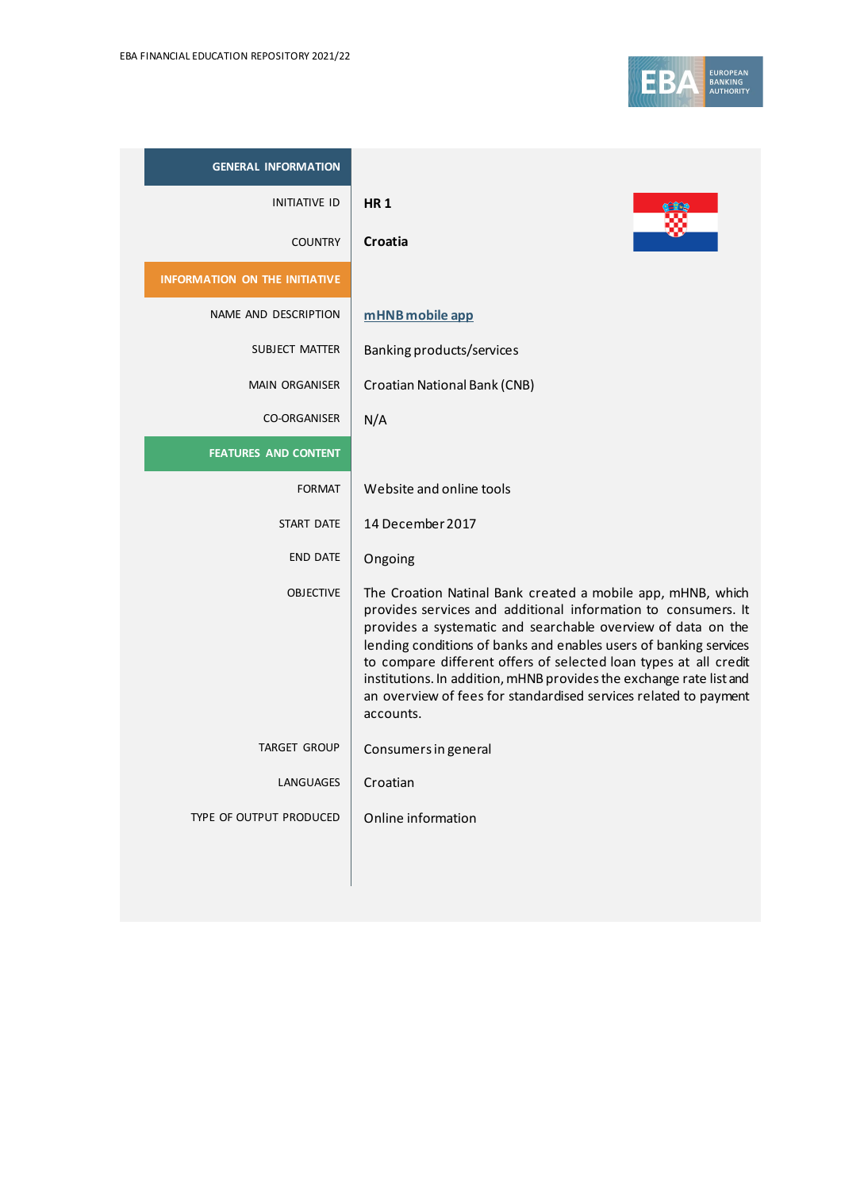| <b>GENERAL INFORMATION</b>           |                                                                                                                                                                                                                                                                                                                                                                                                                                                                                               |
|--------------------------------------|-----------------------------------------------------------------------------------------------------------------------------------------------------------------------------------------------------------------------------------------------------------------------------------------------------------------------------------------------------------------------------------------------------------------------------------------------------------------------------------------------|
| <b>INITIATIVE ID</b>                 | <b>HR1</b>                                                                                                                                                                                                                                                                                                                                                                                                                                                                                    |
| <b>COUNTRY</b>                       | Croatia                                                                                                                                                                                                                                                                                                                                                                                                                                                                                       |
| <b>INFORMATION ON THE INITIATIVE</b> |                                                                                                                                                                                                                                                                                                                                                                                                                                                                                               |
| NAME AND DESCRIPTION                 | mHNB mobile app                                                                                                                                                                                                                                                                                                                                                                                                                                                                               |
| SUBJECT MATTER                       | Banking products/services                                                                                                                                                                                                                                                                                                                                                                                                                                                                     |
| <b>MAIN ORGANISER</b>                | <b>Croatian National Bank (CNB)</b>                                                                                                                                                                                                                                                                                                                                                                                                                                                           |
| <b>CO-ORGANISER</b>                  | N/A                                                                                                                                                                                                                                                                                                                                                                                                                                                                                           |
| <b>FEATURES AND CONTENT</b>          |                                                                                                                                                                                                                                                                                                                                                                                                                                                                                               |
| <b>FORMAT</b>                        | Website and online tools                                                                                                                                                                                                                                                                                                                                                                                                                                                                      |
| START DATE                           | 14 December 2017                                                                                                                                                                                                                                                                                                                                                                                                                                                                              |
| <b>END DATE</b>                      | Ongoing                                                                                                                                                                                                                                                                                                                                                                                                                                                                                       |
| <b>OBJECTIVE</b>                     | The Croation Natinal Bank created a mobile app, mHNB, which<br>provides services and additional information to consumers. It<br>provides a systematic and searchable overview of data on the<br>lending conditions of banks and enables users of banking services<br>to compare different offers of selected loan types at all credit<br>institutions. In addition, mHNB provides the exchange rate list and<br>an overview of fees for standardised services related to payment<br>accounts. |
| <b>TARGET GROUP</b>                  | Consumers in general                                                                                                                                                                                                                                                                                                                                                                                                                                                                          |
| LANGUAGES                            | Croatian                                                                                                                                                                                                                                                                                                                                                                                                                                                                                      |
| TYPE OF OUTPUT PRODUCED              | Online information                                                                                                                                                                                                                                                                                                                                                                                                                                                                            |
|                                      |                                                                                                                                                                                                                                                                                                                                                                                                                                                                                               |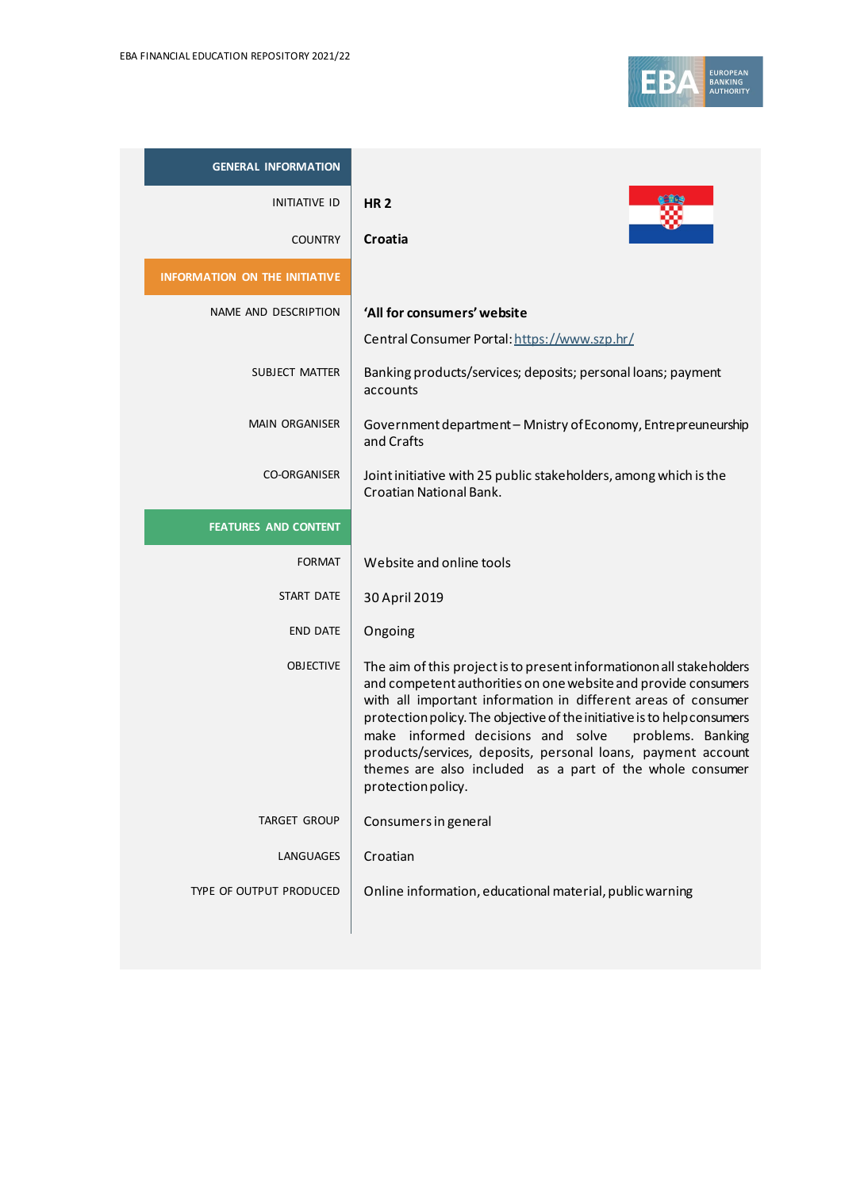

| <b>GENERAL INFORMATION</b>           |                                                                                                                                                                                                                                                                                                                                                                                                                                                                                                |
|--------------------------------------|------------------------------------------------------------------------------------------------------------------------------------------------------------------------------------------------------------------------------------------------------------------------------------------------------------------------------------------------------------------------------------------------------------------------------------------------------------------------------------------------|
| <b>INITIATIVE ID</b>                 | <b>HR2</b>                                                                                                                                                                                                                                                                                                                                                                                                                                                                                     |
| <b>COUNTRY</b>                       | Croatia                                                                                                                                                                                                                                                                                                                                                                                                                                                                                        |
| <b>INFORMATION ON THE INITIATIVE</b> |                                                                                                                                                                                                                                                                                                                                                                                                                                                                                                |
| NAME AND DESCRIPTION                 | 'All for consumers' website                                                                                                                                                                                                                                                                                                                                                                                                                                                                    |
|                                      | Central Consumer Portal: https://www.szp.hr/                                                                                                                                                                                                                                                                                                                                                                                                                                                   |
| SUBJECT MATTER                       | Banking products/services; deposits; personal loans; payment<br>accounts                                                                                                                                                                                                                                                                                                                                                                                                                       |
| <b>MAIN ORGANISER</b>                | Government department - Mnistry of Economy, Entrepreuneurship<br>and Crafts                                                                                                                                                                                                                                                                                                                                                                                                                    |
| <b>CO-ORGANISER</b>                  | Joint initiative with 25 public stakeholders, among which is the<br>Croatian National Bank.                                                                                                                                                                                                                                                                                                                                                                                                    |
| <b>FEATURES AND CONTENT</b>          |                                                                                                                                                                                                                                                                                                                                                                                                                                                                                                |
| <b>FORMAT</b>                        | Website and online tools                                                                                                                                                                                                                                                                                                                                                                                                                                                                       |
| <b>START DATE</b>                    | 30 April 2019                                                                                                                                                                                                                                                                                                                                                                                                                                                                                  |
| <b>END DATE</b>                      | Ongoing                                                                                                                                                                                                                                                                                                                                                                                                                                                                                        |
| <b>OBJECTIVE</b>                     | The aim of this project is to present informationon all stakeholders<br>and competent authorities on one website and provide consumers<br>with all important information in different areas of consumer<br>protection policy. The objective of the initiative is to help consumers<br>make informed decisions and solve<br>problems. Banking<br>products/services, deposits, personal loans, payment account<br>themes are also included as a part of the whole consumer<br>protection policy. |
| TARGET GROUP                         | Consumers in general                                                                                                                                                                                                                                                                                                                                                                                                                                                                           |
| LANGUAGES                            | Croatian                                                                                                                                                                                                                                                                                                                                                                                                                                                                                       |
| TYPE OF OUTPUT PRODUCED              | Online information, educational material, public warning                                                                                                                                                                                                                                                                                                                                                                                                                                       |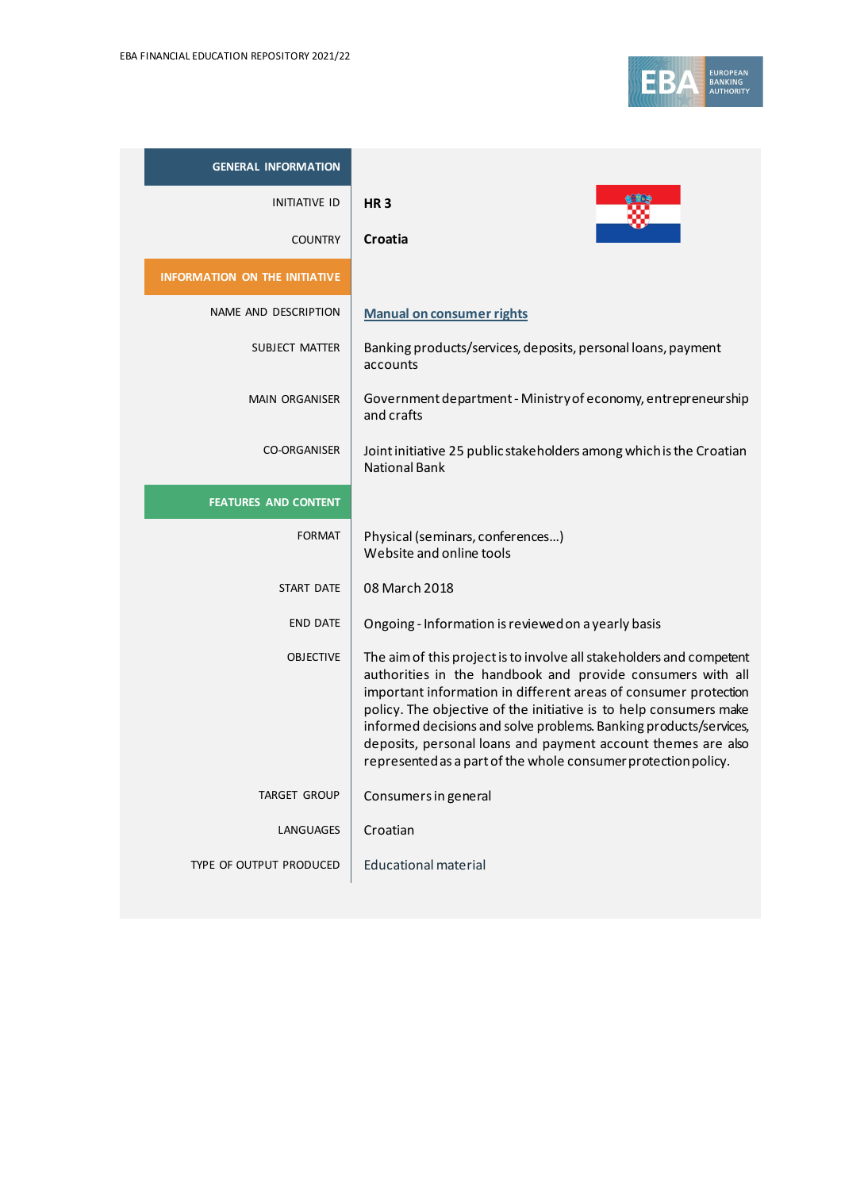

| <b>GENERAL INFORMATION</b>           |                                                                                                                                                                                                                                                                                                                                                                                                                                                                                   |
|--------------------------------------|-----------------------------------------------------------------------------------------------------------------------------------------------------------------------------------------------------------------------------------------------------------------------------------------------------------------------------------------------------------------------------------------------------------------------------------------------------------------------------------|
| INITIATIVE ID                        | <b>HR3</b>                                                                                                                                                                                                                                                                                                                                                                                                                                                                        |
| <b>COUNTRY</b>                       | Croatia                                                                                                                                                                                                                                                                                                                                                                                                                                                                           |
| <b>INFORMATION ON THE INITIATIVE</b> |                                                                                                                                                                                                                                                                                                                                                                                                                                                                                   |
| NAME AND DESCRIPTION                 | <b>Manual on consumer rights</b>                                                                                                                                                                                                                                                                                                                                                                                                                                                  |
| SUBJECT MATTER                       | Banking products/services, deposits, personal loans, payment<br>accounts                                                                                                                                                                                                                                                                                                                                                                                                          |
| <b>MAIN ORGANISER</b>                | Government department - Ministry of economy, entrepreneurship<br>and crafts                                                                                                                                                                                                                                                                                                                                                                                                       |
| <b>CO-ORGANISER</b>                  | Joint initiative 25 public stakeholders among which is the Croatian<br><b>National Bank</b>                                                                                                                                                                                                                                                                                                                                                                                       |
| <b>FEATURES AND CONTENT</b>          |                                                                                                                                                                                                                                                                                                                                                                                                                                                                                   |
| <b>FORMAT</b>                        | Physical (seminars, conferences)<br>Website and online tools                                                                                                                                                                                                                                                                                                                                                                                                                      |
| START DATE                           | 08 March 2018                                                                                                                                                                                                                                                                                                                                                                                                                                                                     |
| <b>END DATE</b>                      | Ongoing - Information is reviewed on a yearly basis                                                                                                                                                                                                                                                                                                                                                                                                                               |
| <b>OBJECTIVE</b>                     | The aim of this project is to involve all stakeholders and competent<br>authorities in the handbook and provide consumers with all<br>important information in different areas of consumer protection<br>policy. The objective of the initiative is to help consumers make<br>informed decisions and solve problems. Banking products/services,<br>deposits, personal loans and payment account themes are also<br>represented as a part of the whole consumer protection policy. |
| <b>TARGET GROUP</b>                  | Consumers in general                                                                                                                                                                                                                                                                                                                                                                                                                                                              |
| LANGUAGES                            | Croatian                                                                                                                                                                                                                                                                                                                                                                                                                                                                          |
| TYPE OF OUTPUT PRODUCED              | <b>Educational material</b>                                                                                                                                                                                                                                                                                                                                                                                                                                                       |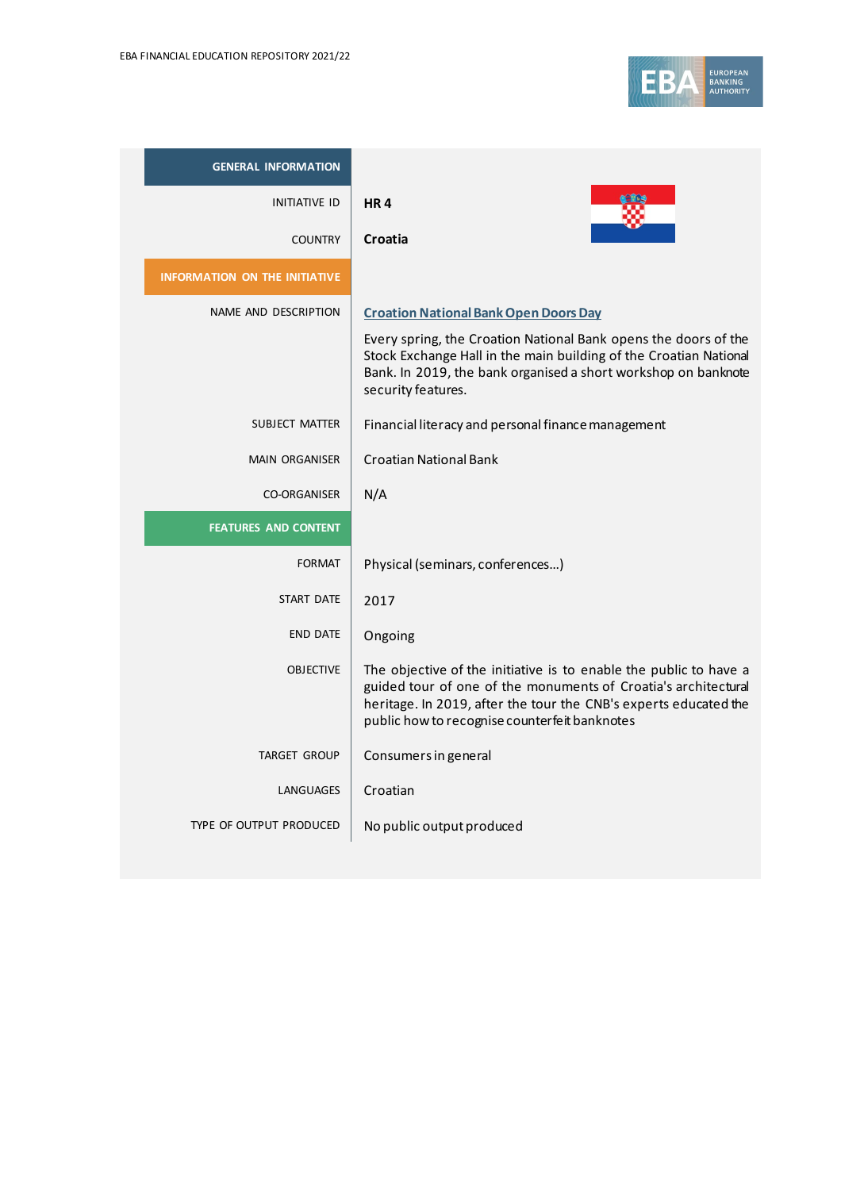

| <b>GENERAL INFORMATION</b>           |                                                                                                                                                                                                                                                          |
|--------------------------------------|----------------------------------------------------------------------------------------------------------------------------------------------------------------------------------------------------------------------------------------------------------|
| <b>INITIATIVE ID</b>                 | <b>HR4</b>                                                                                                                                                                                                                                               |
| <b>COUNTRY</b>                       | Croatia                                                                                                                                                                                                                                                  |
| <b>INFORMATION ON THE INITIATIVE</b> |                                                                                                                                                                                                                                                          |
| NAME AND DESCRIPTION                 | <b>Croation National Bank Open Doors Day</b>                                                                                                                                                                                                             |
|                                      | Every spring, the Croation National Bank opens the doors of the<br>Stock Exchange Hall in the main building of the Croatian National<br>Bank. In 2019, the bank organised a short workshop on banknote<br>security features.                             |
| <b>SUBJECT MATTER</b>                | Financial literacy and personal finance management                                                                                                                                                                                                       |
| <b>MAIN ORGANISER</b>                | <b>Croatian National Bank</b>                                                                                                                                                                                                                            |
| <b>CO-ORGANISER</b>                  | N/A                                                                                                                                                                                                                                                      |
| <b>FEATURES AND CONTENT</b>          |                                                                                                                                                                                                                                                          |
| <b>FORMAT</b>                        | Physical (seminars, conferences)                                                                                                                                                                                                                         |
| <b>START DATE</b>                    | 2017                                                                                                                                                                                                                                                     |
| <b>END DATE</b>                      | Ongoing                                                                                                                                                                                                                                                  |
| <b>OBJECTIVE</b>                     | The objective of the initiative is to enable the public to have a<br>guided tour of one of the monuments of Croatia's architectural<br>heritage. In 2019, after the tour the CNB's experts educated the<br>public how to recognise counterfeit banknotes |
| <b>TARGET GROUP</b>                  | Consumers in general                                                                                                                                                                                                                                     |
| LANGUAGES                            | Croatian                                                                                                                                                                                                                                                 |
| TYPE OF OUTPUT PRODUCED              | No public output produced                                                                                                                                                                                                                                |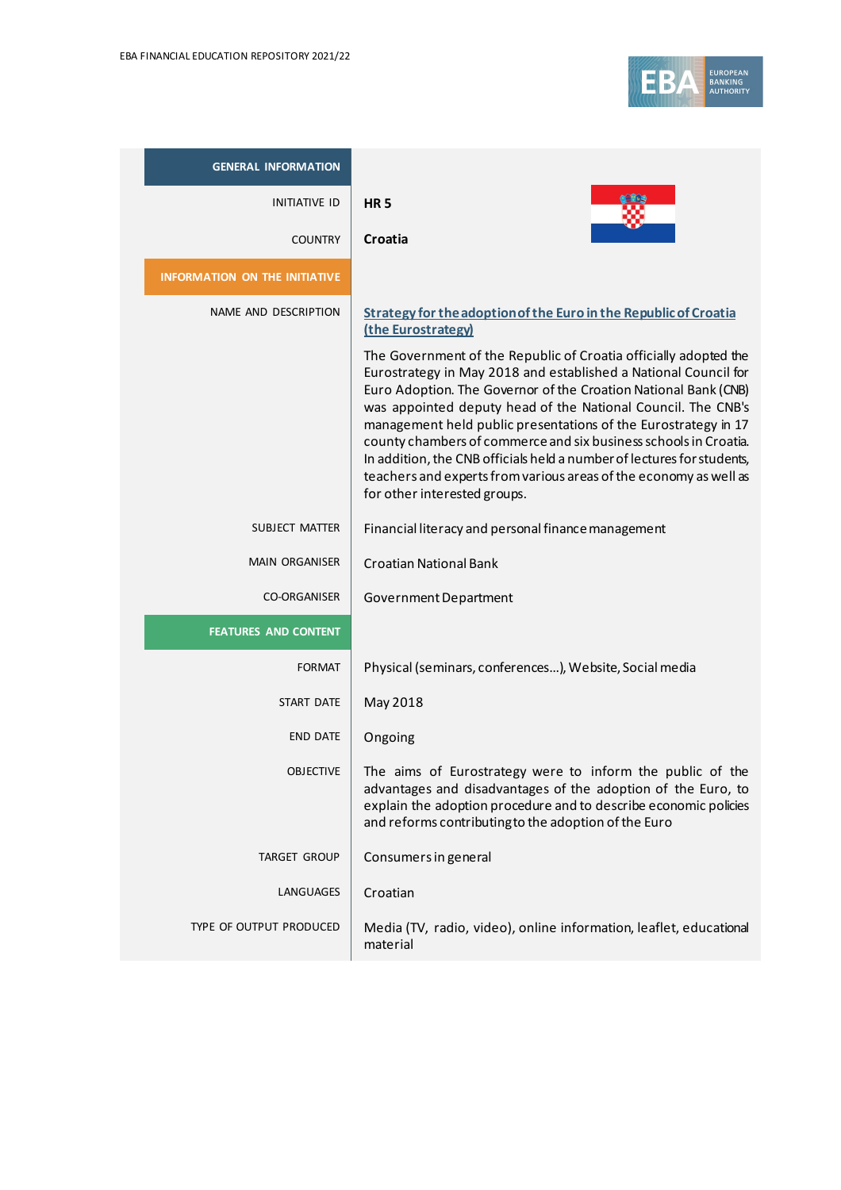

| <b>GENERAL INFORMATION</b>           |                                                                                                                                                                                                                                                                                                                                                                                                                                                                                                                                                                                             |
|--------------------------------------|---------------------------------------------------------------------------------------------------------------------------------------------------------------------------------------------------------------------------------------------------------------------------------------------------------------------------------------------------------------------------------------------------------------------------------------------------------------------------------------------------------------------------------------------------------------------------------------------|
| <b>INITIATIVE ID</b>                 | <b>HR5</b>                                                                                                                                                                                                                                                                                                                                                                                                                                                                                                                                                                                  |
| <b>COUNTRY</b>                       | Croatia                                                                                                                                                                                                                                                                                                                                                                                                                                                                                                                                                                                     |
| <b>INFORMATION ON THE INITIATIVE</b> |                                                                                                                                                                                                                                                                                                                                                                                                                                                                                                                                                                                             |
| NAME AND DESCRIPTION                 | Strategy for the adoption of the Euro in the Republic of Croatia<br>(the Eurostrategy)                                                                                                                                                                                                                                                                                                                                                                                                                                                                                                      |
|                                      | The Government of the Republic of Croatia officially adopted the<br>Eurostrategy in May 2018 and established a National Council for<br>Euro Adoption. The Governor of the Croation National Bank (CNB)<br>was appointed deputy head of the National Council. The CNB's<br>management held public presentations of the Eurostrategy in 17<br>county chambers of commerce and six business schools in Croatia.<br>In addition, the CNB officials held a number of lectures for students,<br>teachers and experts from various areas of the economy as well as<br>for other interested groups. |
| SUBJECT MATTER                       | Financial literacy and personal finance management                                                                                                                                                                                                                                                                                                                                                                                                                                                                                                                                          |
| <b>MAIN ORGANISER</b>                | <b>Croatian National Bank</b>                                                                                                                                                                                                                                                                                                                                                                                                                                                                                                                                                               |
| <b>CO-ORGANISER</b>                  | Government Department                                                                                                                                                                                                                                                                                                                                                                                                                                                                                                                                                                       |
| <b>FEATURES AND CONTENT</b>          |                                                                                                                                                                                                                                                                                                                                                                                                                                                                                                                                                                                             |
| <b>FORMAT</b>                        | Physical (seminars, conferences), Website, Social media                                                                                                                                                                                                                                                                                                                                                                                                                                                                                                                                     |
| <b>START DATE</b>                    | May 2018                                                                                                                                                                                                                                                                                                                                                                                                                                                                                                                                                                                    |
| <b>END DATE</b>                      | Ongoing                                                                                                                                                                                                                                                                                                                                                                                                                                                                                                                                                                                     |
| <b>OBJECTIVE</b>                     | The aims of Eurostrategy were to inform the public of the<br>advantages and disadvantages of the adoption of the Euro, to<br>explain the adoption procedure and to describe economic policies<br>and reforms contributing to the adoption of the Euro                                                                                                                                                                                                                                                                                                                                       |
| <b>TARGET GROUP</b>                  | Consumers in general                                                                                                                                                                                                                                                                                                                                                                                                                                                                                                                                                                        |
| LANGUAGES                            | Croatian                                                                                                                                                                                                                                                                                                                                                                                                                                                                                                                                                                                    |
| TYPE OF OUTPUT PRODUCED              | Media (TV, radio, video), online information, leaflet, educational<br>material                                                                                                                                                                                                                                                                                                                                                                                                                                                                                                              |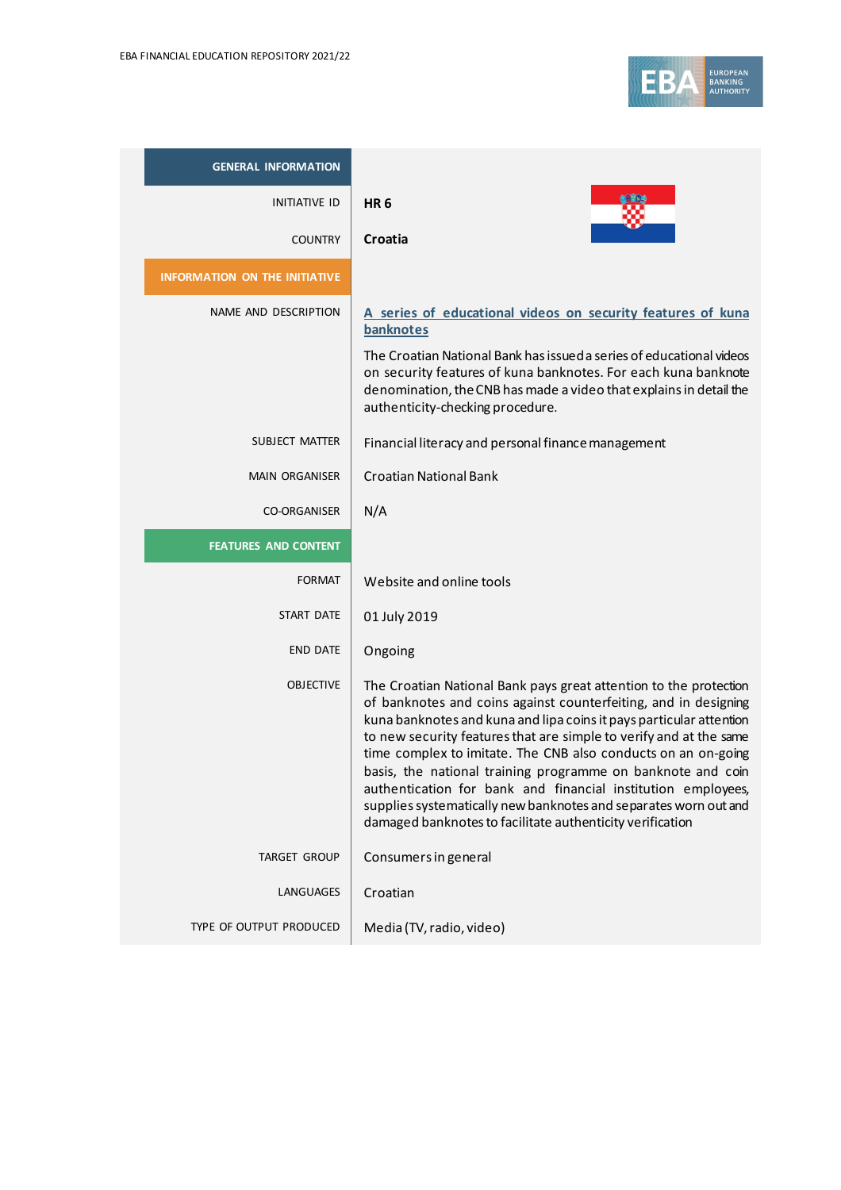

| <b>GENERAL INFORMATION</b>           |                                                                                                                                                                                                                                                                                                                                                                                                                                                                                                                                                                                                                    |
|--------------------------------------|--------------------------------------------------------------------------------------------------------------------------------------------------------------------------------------------------------------------------------------------------------------------------------------------------------------------------------------------------------------------------------------------------------------------------------------------------------------------------------------------------------------------------------------------------------------------------------------------------------------------|
| <b>INITIATIVE ID</b>                 | <b>HR6</b>                                                                                                                                                                                                                                                                                                                                                                                                                                                                                                                                                                                                         |
| <b>COUNTRY</b>                       | Croatia                                                                                                                                                                                                                                                                                                                                                                                                                                                                                                                                                                                                            |
| <b>INFORMATION ON THE INITIATIVE</b> |                                                                                                                                                                                                                                                                                                                                                                                                                                                                                                                                                                                                                    |
| NAME AND DESCRIPTION                 | A series of educational videos on security features of kuna<br>banknotes                                                                                                                                                                                                                                                                                                                                                                                                                                                                                                                                           |
|                                      | The Croatian National Bank has issued a series of educational videos<br>on security features of kuna banknotes. For each kuna banknote<br>denomination, the CNB has made a video that explains in detail the<br>authenticity-checking procedure.                                                                                                                                                                                                                                                                                                                                                                   |
| SUBJECT MATTER                       | Financial literacy and personal finance management                                                                                                                                                                                                                                                                                                                                                                                                                                                                                                                                                                 |
| <b>MAIN ORGANISER</b>                | <b>Croatian National Bank</b>                                                                                                                                                                                                                                                                                                                                                                                                                                                                                                                                                                                      |
| <b>CO-ORGANISER</b>                  | N/A                                                                                                                                                                                                                                                                                                                                                                                                                                                                                                                                                                                                                |
| <b>FEATURES AND CONTENT</b>          |                                                                                                                                                                                                                                                                                                                                                                                                                                                                                                                                                                                                                    |
| <b>FORMAT</b>                        | Website and online tools                                                                                                                                                                                                                                                                                                                                                                                                                                                                                                                                                                                           |
| START DATE                           | 01 July 2019                                                                                                                                                                                                                                                                                                                                                                                                                                                                                                                                                                                                       |
| <b>END DATE</b>                      | Ongoing                                                                                                                                                                                                                                                                                                                                                                                                                                                                                                                                                                                                            |
| <b>OBJECTIVE</b>                     | The Croatian National Bank pays great attention to the protection<br>of banknotes and coins against counterfeiting, and in designing<br>kuna banknotes and kuna and lipa coins it pays particular attention<br>to new security features that are simple to verify and at the same<br>time complex to imitate. The CNB also conducts on an on-going<br>basis, the national training programme on banknote and coin<br>authentication for bank and financial institution employees,<br>supplies systematically new banknotes and separates worn out and<br>damaged banknotes to facilitate authenticity verification |
| <b>TARGET GROUP</b>                  | Consumers in general                                                                                                                                                                                                                                                                                                                                                                                                                                                                                                                                                                                               |
| LANGUAGES                            | Croatian                                                                                                                                                                                                                                                                                                                                                                                                                                                                                                                                                                                                           |
| TYPE OF OUTPUT PRODUCED              | Media (TV, radio, video)                                                                                                                                                                                                                                                                                                                                                                                                                                                                                                                                                                                           |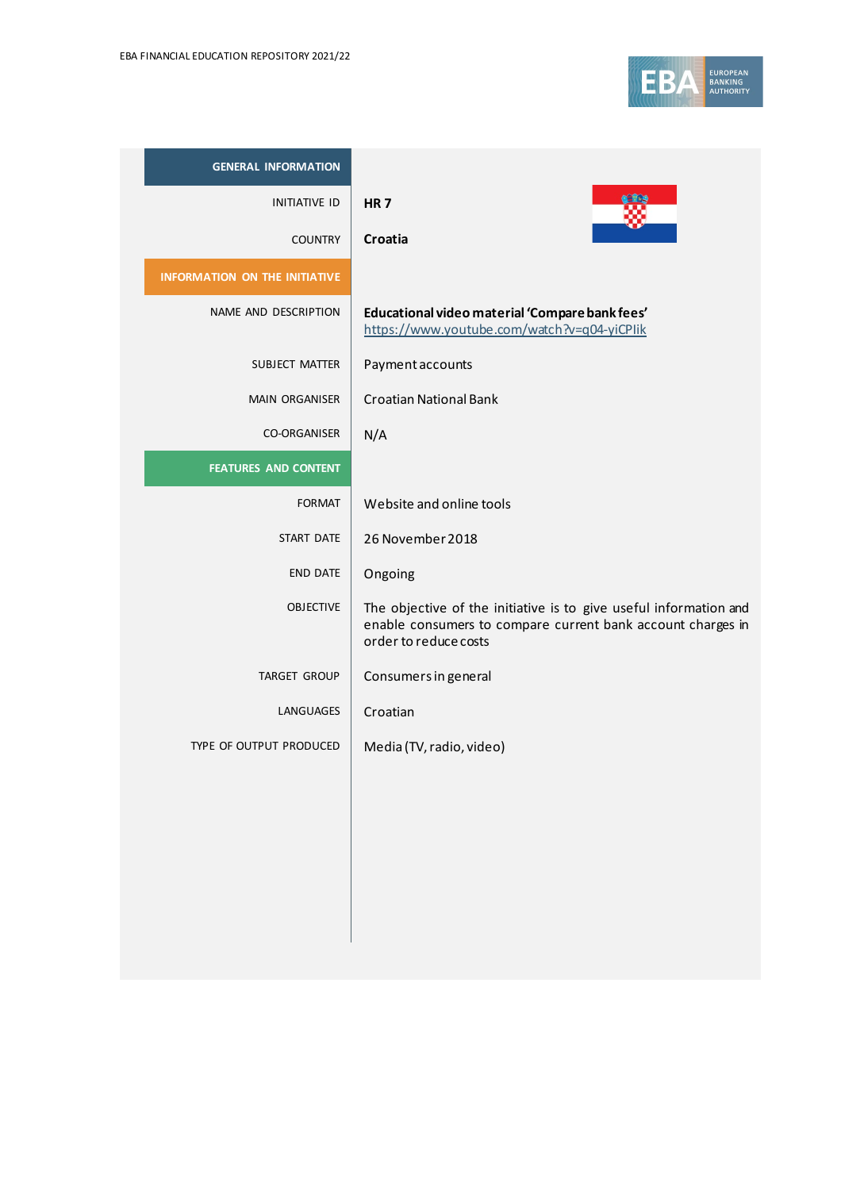| <b>GENERAL INFORMATION</b>           |                                                                                                                                                           |
|--------------------------------------|-----------------------------------------------------------------------------------------------------------------------------------------------------------|
| <b>INITIATIVE ID</b>                 | <b>HR7</b>                                                                                                                                                |
| <b>COUNTRY</b>                       | Croatia                                                                                                                                                   |
| <b>INFORMATION ON THE INITIATIVE</b> |                                                                                                                                                           |
| NAME AND DESCRIPTION                 | Educational video material 'Compare bank fees'<br>https://www.youtube.com/watch?v=q04-yiCPlik                                                             |
| <b>SUBJECT MATTER</b>                | Payment accounts                                                                                                                                          |
| <b>MAIN ORGANISER</b>                | <b>Croatian National Bank</b>                                                                                                                             |
| <b>CO-ORGANISER</b>                  | N/A                                                                                                                                                       |
| <b>FEATURES AND CONTENT</b>          |                                                                                                                                                           |
| <b>FORMAT</b>                        | Website and online tools                                                                                                                                  |
| <b>START DATE</b>                    | 26 November 2018                                                                                                                                          |
| <b>END DATE</b>                      | Ongoing                                                                                                                                                   |
| <b>OBJECTIVE</b>                     | The objective of the initiative is to give useful information and<br>enable consumers to compare current bank account charges in<br>order to reduce costs |
| <b>TARGET GROUP</b>                  | Consumers in general                                                                                                                                      |
| LANGUAGES                            | Croatian                                                                                                                                                  |
| TYPE OF OUTPUT PRODUCED              | Media (TV, radio, video)                                                                                                                                  |
|                                      |                                                                                                                                                           |
|                                      |                                                                                                                                                           |
|                                      |                                                                                                                                                           |
|                                      |                                                                                                                                                           |
|                                      |                                                                                                                                                           |
|                                      |                                                                                                                                                           |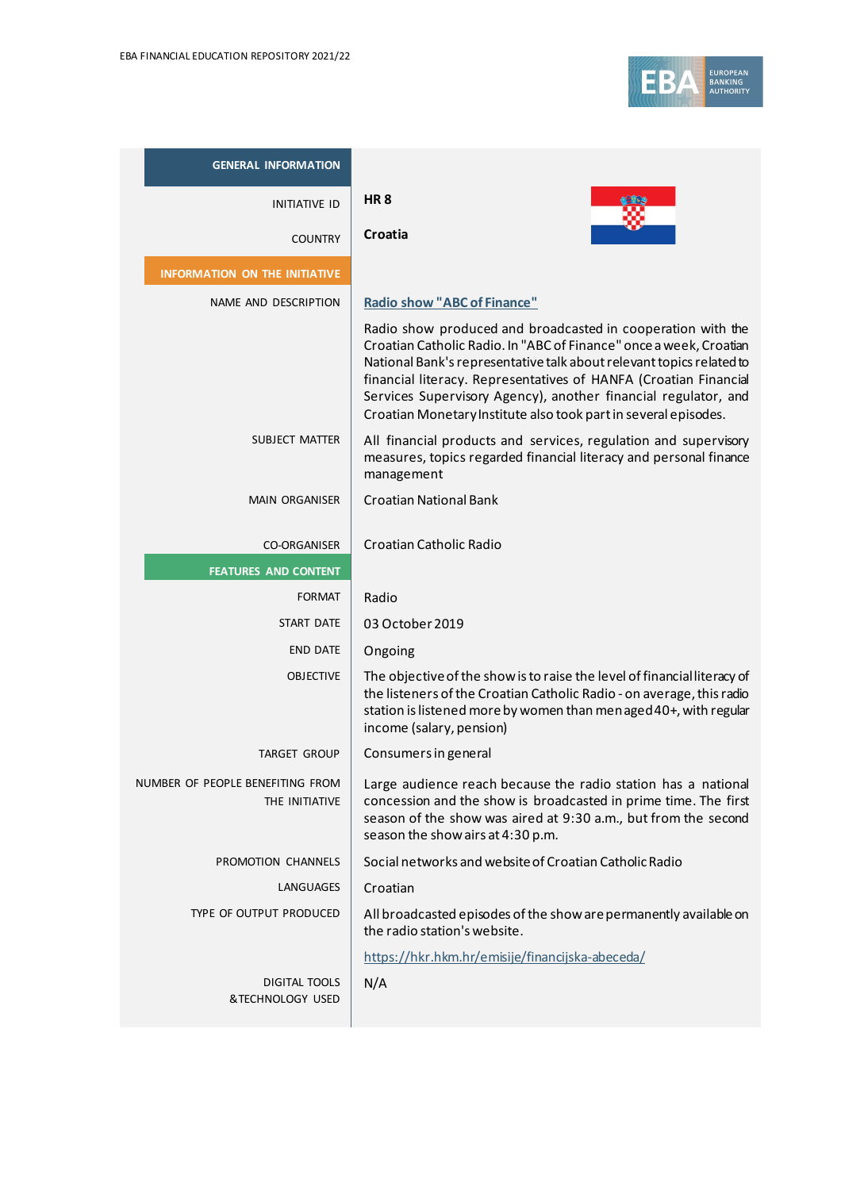

| <b>GENERAL INFORMATION</b>                         |                                                                                                                                                                                                                                                                                                                                                                                                                    |
|----------------------------------------------------|--------------------------------------------------------------------------------------------------------------------------------------------------------------------------------------------------------------------------------------------------------------------------------------------------------------------------------------------------------------------------------------------------------------------|
| <b>INITIATIVE ID</b>                               | <b>HR8</b>                                                                                                                                                                                                                                                                                                                                                                                                         |
| <b>COUNTRY</b>                                     | Croatia                                                                                                                                                                                                                                                                                                                                                                                                            |
| <b>INFORMATION ON THE INITIATIVE</b>               |                                                                                                                                                                                                                                                                                                                                                                                                                    |
| NAME AND DESCRIPTION                               | <b>Radio show "ABC of Finance"</b>                                                                                                                                                                                                                                                                                                                                                                                 |
|                                                    | Radio show produced and broadcasted in cooperation with the<br>Croatian Catholic Radio. In "ABC of Finance" once a week, Croatian<br>National Bank's representative talk about relevant topics related to<br>financial literacy. Representatives of HANFA (Croatian Financial<br>Services Supervisory Agency), another financial regulator, and<br>Croatian Monetary Institute also took part in several episodes. |
| SUBJECT MATTER                                     | All financial products and services, regulation and supervisory<br>measures, topics regarded financial literacy and personal finance<br>management                                                                                                                                                                                                                                                                 |
| <b>MAIN ORGANISER</b>                              | <b>Croatian National Bank</b>                                                                                                                                                                                                                                                                                                                                                                                      |
| <b>CO-ORGANISER</b>                                | Croatian Catholic Radio                                                                                                                                                                                                                                                                                                                                                                                            |
| <b>FEATURES AND CONTENT</b>                        |                                                                                                                                                                                                                                                                                                                                                                                                                    |
| <b>FORMAT</b>                                      | Radio                                                                                                                                                                                                                                                                                                                                                                                                              |
| <b>START DATE</b>                                  | 03 October 2019                                                                                                                                                                                                                                                                                                                                                                                                    |
| <b>END DATE</b>                                    | Ongoing                                                                                                                                                                                                                                                                                                                                                                                                            |
| <b>OBJECTIVE</b>                                   | The objective of the show is to raise the level of financial literacy of<br>the listeners of the Croatian Catholic Radio - on average, this radio<br>station is listened more by women than menaged 40+, with regular<br>income (salary, pension)                                                                                                                                                                  |
| <b>TARGET GROUP</b>                                | Consumers in general                                                                                                                                                                                                                                                                                                                                                                                               |
| NUMBER OF PEOPLE BENEFITING FROM<br>THE INITIATIVE | Large audience reach because the radio station has a national<br>concession and the show is broadcasted in prime time. The first<br>season of the show was aired at 9:30 a.m., but from the second<br>season the show airs at 4:30 p.m.                                                                                                                                                                            |
| PROMOTION CHANNELS                                 | Social networks and website of Croatian Catholic Radio                                                                                                                                                                                                                                                                                                                                                             |
| LANGUAGES                                          | Croatian                                                                                                                                                                                                                                                                                                                                                                                                           |
| TYPE OF OUTPUT PRODUCED                            | All broadcasted episodes of the show are permanently available on<br>the radio station's website.                                                                                                                                                                                                                                                                                                                  |
|                                                    | https://hkr.hkm.hr/emisije/financijska-abeceda/                                                                                                                                                                                                                                                                                                                                                                    |
| <b>DIGITAL TOOLS</b><br>&TECHNOLOGY USED           | N/A                                                                                                                                                                                                                                                                                                                                                                                                                |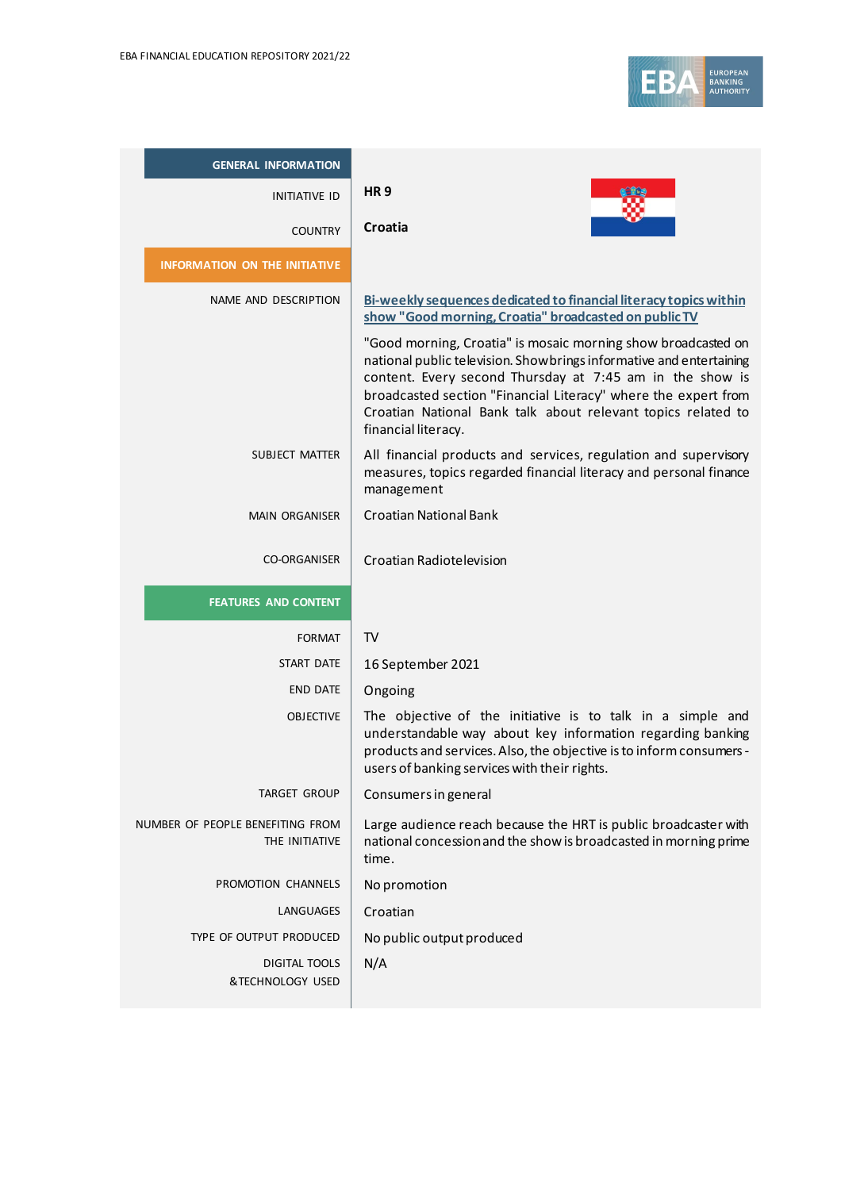

| <b>GENERAL INFORMATION</b>                         |                                                                                                                                                                                                                                                                                           |
|----------------------------------------------------|-------------------------------------------------------------------------------------------------------------------------------------------------------------------------------------------------------------------------------------------------------------------------------------------|
| <b>INITIATIVE ID</b>                               | <b>HR9</b>                                                                                                                                                                                                                                                                                |
| <b>COUNTRY</b>                                     | Croatia                                                                                                                                                                                                                                                                                   |
| <b>INFORMATION ON THE INITIATIVE</b>               |                                                                                                                                                                                                                                                                                           |
| NAME AND DESCRIPTION                               | Bi-weekly sequences dedicated to financial literacy topics within<br>show "Good morning, Croatia" broadcasted on public TV<br>"Good morning, Croatia" is mosaic morning show broadcasted on                                                                                               |
|                                                    | national public television. Show brings informative and entertaining<br>content. Every second Thursday at 7:45 am in the show is<br>broadcasted section "Financial Literacy" where the expert from<br>Croatian National Bank talk about relevant topics related to<br>financial literacy. |
| SUBJECT MATTER                                     | All financial products and services, regulation and supervisory<br>measures, topics regarded financial literacy and personal finance<br>management                                                                                                                                        |
| <b>MAIN ORGANISER</b>                              | <b>Croatian National Bank</b>                                                                                                                                                                                                                                                             |
| <b>CO-ORGANISER</b>                                | Croatian Radiotelevision                                                                                                                                                                                                                                                                  |
| <b>FEATURES AND CONTENT</b>                        |                                                                                                                                                                                                                                                                                           |
| <b>FORMAT</b>                                      | <b>TV</b>                                                                                                                                                                                                                                                                                 |
| START DATE                                         | 16 September 2021                                                                                                                                                                                                                                                                         |
| <b>END DATE</b>                                    | Ongoing                                                                                                                                                                                                                                                                                   |
| <b>OBJECTIVE</b>                                   | The objective of the initiative is to talk in a simple and<br>understandable way about key information regarding banking<br>products and services. Also, the objective is to inform consumers -<br>users of banking services with their rights.                                           |
| <b>TARGET GROUP</b>                                | Consumers in general                                                                                                                                                                                                                                                                      |
| NUMBER OF PEOPLE BENEFITING FROM<br>THE INITIATIVE | Large audience reach because the HRT is public broadcaster with<br>national concession and the show is broadcasted in morning prime<br>time.                                                                                                                                              |
| PROMOTION CHANNELS                                 | No promotion                                                                                                                                                                                                                                                                              |
| <b>LANGUAGES</b>                                   | Croatian                                                                                                                                                                                                                                                                                  |
| TYPE OF OUTPUT PRODUCED                            | No public output produced                                                                                                                                                                                                                                                                 |
| <b>DIGITAL TOOLS</b><br>&TECHNOLOGY USED           | N/A                                                                                                                                                                                                                                                                                       |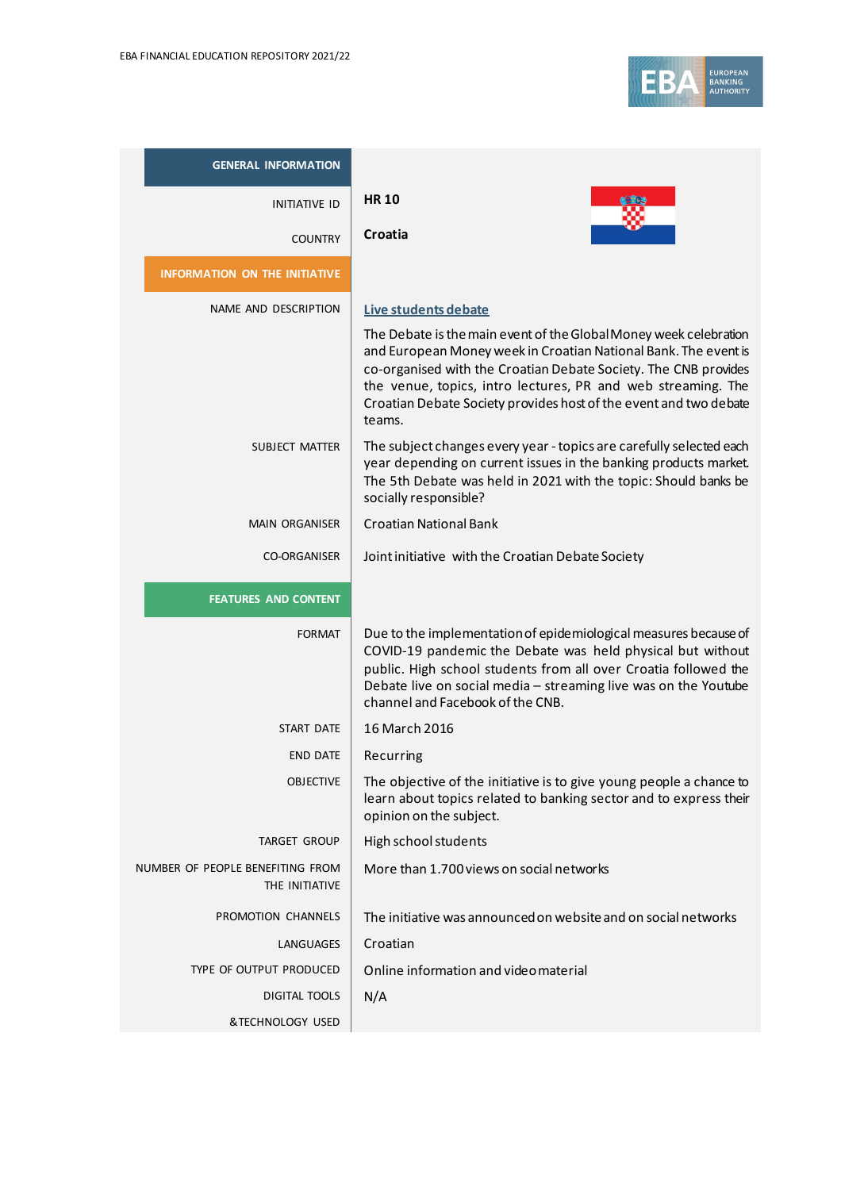

| <b>GENERAL INFORMATION</b>                         |                                                                                                                                                                                                                                                                                                                                                        |
|----------------------------------------------------|--------------------------------------------------------------------------------------------------------------------------------------------------------------------------------------------------------------------------------------------------------------------------------------------------------------------------------------------------------|
| <b>INITIATIVE ID</b>                               | <b>HR 10</b>                                                                                                                                                                                                                                                                                                                                           |
| <b>COUNTRY</b>                                     | Croatia                                                                                                                                                                                                                                                                                                                                                |
| <b>INFORMATION ON THE INITIATIVE</b>               |                                                                                                                                                                                                                                                                                                                                                        |
| NAME AND DESCRIPTION                               | Live students debate                                                                                                                                                                                                                                                                                                                                   |
|                                                    | The Debate is the main event of the Global Money week celebration<br>and European Money week in Croatian National Bank. The event is<br>co-organised with the Croatian Debate Society. The CNB provides<br>the venue, topics, intro lectures, PR and web streaming. The<br>Croatian Debate Society provides host of the event and two debate<br>teams. |
| <b>SUBJECT MATTER</b>                              | The subject changes every year - topics are carefully selected each<br>year depending on current issues in the banking products market.<br>The 5th Debate was held in 2021 with the topic: Should banks be<br>socially responsible?                                                                                                                    |
| <b>MAIN ORGANISER</b>                              | <b>Croatian National Bank</b>                                                                                                                                                                                                                                                                                                                          |
| <b>CO-ORGANISER</b>                                | Joint initiative with the Croatian Debate Society                                                                                                                                                                                                                                                                                                      |
| <b>FEATURES AND CONTENT</b>                        |                                                                                                                                                                                                                                                                                                                                                        |
| <b>FORMAT</b>                                      | Due to the implementation of epidemiological measures because of<br>COVID-19 pandemic the Debate was held physical but without<br>public. High school students from all over Croatia followed the<br>Debate live on social media - streaming live was on the Youtube<br>channel and Facebook of the CNB.                                               |
| START DATE                                         | 16 March 2016                                                                                                                                                                                                                                                                                                                                          |
| <b>END DATE</b>                                    | Recurring                                                                                                                                                                                                                                                                                                                                              |
| <b>OBJECTIVE</b>                                   | The objective of the initiative is to give young people a chance to<br>learn about topics related to banking sector and to express their<br>opinion on the subject.                                                                                                                                                                                    |
| <b>TARGET GROUP</b>                                | High school students                                                                                                                                                                                                                                                                                                                                   |
| NUMBER OF PEOPLE BENEFITING FROM<br>THE INITIATIVE | More than 1.700 views on social networks                                                                                                                                                                                                                                                                                                               |
| PROMOTION CHANNELS                                 | The initiative was announced on website and on social networks                                                                                                                                                                                                                                                                                         |
| <b>LANGUAGES</b>                                   | Croatian                                                                                                                                                                                                                                                                                                                                               |
| TYPE OF OUTPUT PRODUCED                            | Online information and video material                                                                                                                                                                                                                                                                                                                  |
| <b>DIGITAL TOOLS</b>                               | N/A                                                                                                                                                                                                                                                                                                                                                    |
| &TECHNOLOGY USED                                   |                                                                                                                                                                                                                                                                                                                                                        |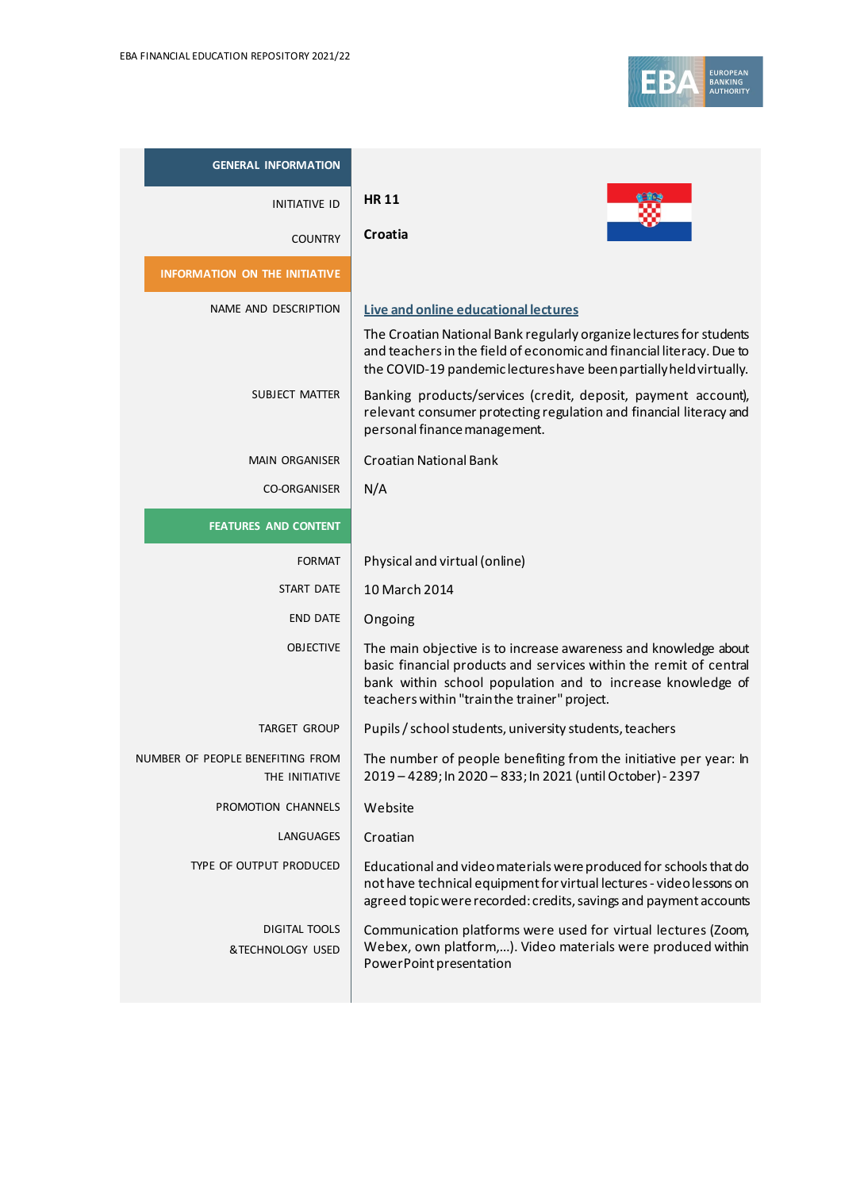

| <b>GENERAL INFORMATION</b>                         |                                                                                                                                                                                                                                                    |
|----------------------------------------------------|----------------------------------------------------------------------------------------------------------------------------------------------------------------------------------------------------------------------------------------------------|
| <b>INITIATIVE ID</b>                               | <b>HR11</b>                                                                                                                                                                                                                                        |
| <b>COUNTRY</b>                                     | Croatia                                                                                                                                                                                                                                            |
| <b>INFORMATION ON THE INITIATIVE</b>               |                                                                                                                                                                                                                                                    |
| NAME AND DESCRIPTION                               | Live and online educational lectures                                                                                                                                                                                                               |
|                                                    | The Croatian National Bank regularly organize lectures for students<br>and teachers in the field of economic and financial literacy. Due to<br>the COVID-19 pandemic lectures have been partially held virtually.                                  |
| SUBJECT MATTER                                     | Banking products/services (credit, deposit, payment account),<br>relevant consumer protecting regulation and financial literacy and<br>personal finance management.                                                                                |
| <b>MAIN ORGANISER</b>                              | <b>Croatian National Bank</b>                                                                                                                                                                                                                      |
| <b>CO-ORGANISER</b>                                | N/A                                                                                                                                                                                                                                                |
| <b>FEATURES AND CONTENT</b>                        |                                                                                                                                                                                                                                                    |
| <b>FORMAT</b>                                      | Physical and virtual (online)                                                                                                                                                                                                                      |
| <b>START DATE</b>                                  | 10 March 2014                                                                                                                                                                                                                                      |
| <b>END DATE</b>                                    | Ongoing                                                                                                                                                                                                                                            |
| <b>OBJECTIVE</b>                                   | The main objective is to increase awareness and knowledge about<br>basic financial products and services within the remit of central<br>bank within school population and to increase knowledge of<br>teachers within "train the trainer" project. |
| <b>TARGET GROUP</b>                                | Pupils / school students, university students, teachers                                                                                                                                                                                            |
| NUMBER OF PEOPLE BENEFITING FROM<br>THE INITIATIVE | The number of people benefiting from the initiative per year: In<br>2019 - 4289; In 2020 - 833; In 2021 (until October) - 2397                                                                                                                     |
| PROMOTION CHANNELS                                 | Website                                                                                                                                                                                                                                            |
| LANGUAGES                                          | Croatian                                                                                                                                                                                                                                           |
| TYPE OF OUTPUT PRODUCED                            | Educational and video materials were produced for schools that do<br>not have technical equipment for virtual lectures - videolessons on<br>agreed topic were recorded: credits, savings and payment accounts                                      |
| <b>DIGITAL TOOLS</b><br>&TECHNOLOGY USED           | Communication platforms were used for virtual lectures (Zoom,<br>Webex, own platform,). Video materials were produced within<br>PowerPoint presentation                                                                                            |